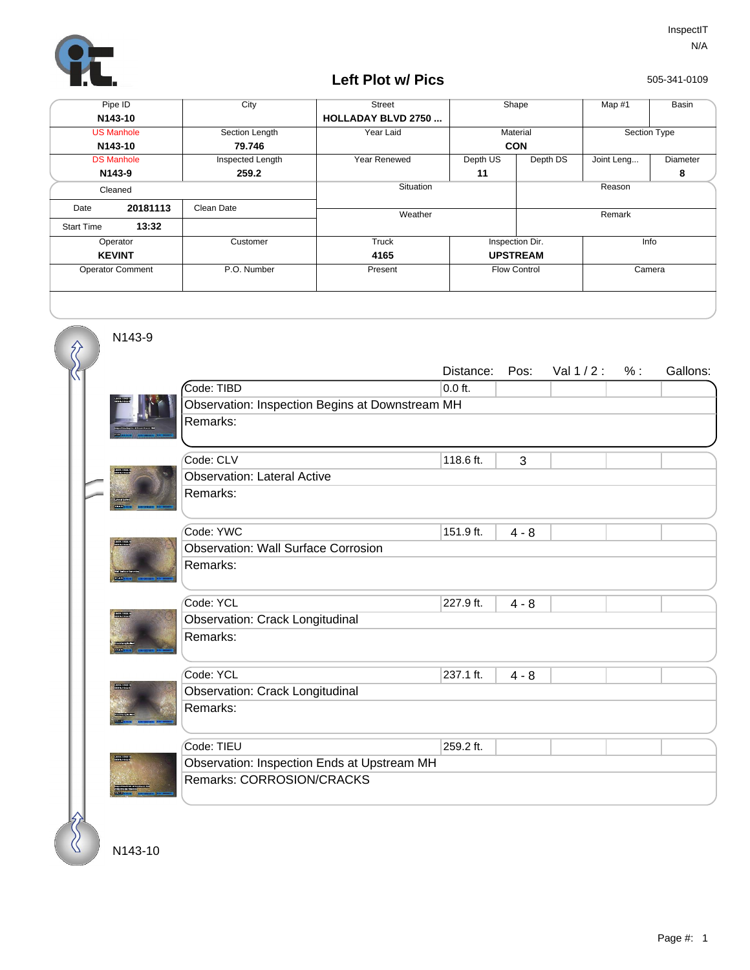

## **Left Plot w/ Pics**

505-341-0109

| Pipe ID                 |               | City             | <b>Street</b>             | Shape               |                 | Map #1       | Basin    |  |
|-------------------------|---------------|------------------|---------------------------|---------------------|-----------------|--------------|----------|--|
| N143-10                 |               |                  | <b>HOLLADAY BLVD 2750</b> |                     |                 |              |          |  |
| <b>US Manhole</b>       |               | Section Length   | Year Laid                 | Material            |                 | Section Type |          |  |
| N143-10                 |               | 79.746           |                           | <b>CON</b>          |                 |              |          |  |
| <b>DS Manhole</b>       |               | Inspected Length | Year Renewed              | Depth US            | Depth DS        | Joint Leng   | Diameter |  |
| N <sub>143-9</sub>      |               | 259.2            |                           | 11                  |                 |              | 8        |  |
| Cleaned                 |               |                  | Situation                 |                     | Reason          |              |          |  |
| Date                    | 20181113      | Clean Date       |                           |                     |                 |              |          |  |
|                         |               |                  | Weather                   |                     | Remark          |              |          |  |
| <b>Start Time</b>       | 13:32         |                  |                           |                     |                 |              |          |  |
| Operator                |               | Customer         | Truck                     | Inspection Dir.     |                 | Info         |          |  |
|                         | <b>KEVINT</b> |                  | 4165                      |                     | <b>UPSTREAM</b> |              |          |  |
| <b>Operator Comment</b> |               | P.O. Number      | Present                   | <b>Flow Control</b> |                 | Camera       |          |  |
|                         |               |                  |                           |                     |                 |              |          |  |
|                         |               |                  |                           |                     |                 |              |          |  |

N143-9

 $\hat{\mathcal{S}}$ С

|                                         |                                                 | Distance: | Pos:    | Val $1/2$ : | % : | Gallons: |  |  |  |  |  |
|-----------------------------------------|-------------------------------------------------|-----------|---------|-------------|-----|----------|--|--|--|--|--|
|                                         | Code: TIBD                                      | $0.0$ ft. |         |             |     |          |  |  |  |  |  |
|                                         | Observation: Inspection Begins at Downstream MH |           |         |             |     |          |  |  |  |  |  |
|                                         | Remarks:                                        |           |         |             |     |          |  |  |  |  |  |
|                                         |                                                 |           |         |             |     |          |  |  |  |  |  |
|                                         | Code: CLV                                       | 118.6 ft. | 3       |             |     |          |  |  |  |  |  |
|                                         | <b>Observation: Lateral Active</b>              |           |         |             |     |          |  |  |  |  |  |
|                                         | Remarks:                                        |           |         |             |     |          |  |  |  |  |  |
|                                         | Code: YWC                                       | 151.9 ft. | $4 - 8$ |             |     |          |  |  |  |  |  |
| 1911-1914-016<br>Maria Nobel            | <b>Observation: Wall Surface Corrosion</b>      |           |         |             |     |          |  |  |  |  |  |
|                                         | Remarks:                                        |           |         |             |     |          |  |  |  |  |  |
| <b>Broadway</b>                         | Code: YCL                                       | 227.9 ft. | $4 - 8$ |             |     |          |  |  |  |  |  |
|                                         | <b>Observation: Crack Longitudinal</b>          |           |         |             |     |          |  |  |  |  |  |
|                                         | Remarks:                                        |           |         |             |     |          |  |  |  |  |  |
|                                         | Code: YCL                                       | 237.1 ft. | $4 - 8$ |             |     |          |  |  |  |  |  |
| umaton regelative<br>District will be a | <b>Observation: Crack Longitudinal</b>          |           |         |             |     |          |  |  |  |  |  |
|                                         | Remarks:                                        |           |         |             |     |          |  |  |  |  |  |
|                                         | Code: TIEU                                      | 259.2 ft. |         |             |     |          |  |  |  |  |  |
|                                         | Observation: Inspection Ends at Upstream MH     |           |         |             |     |          |  |  |  |  |  |
|                                         | Remarks: CORROSION/CRACKS                       |           |         |             |     |          |  |  |  |  |  |
|                                         |                                                 |           |         |             |     |          |  |  |  |  |  |

N143-10

 $\%$